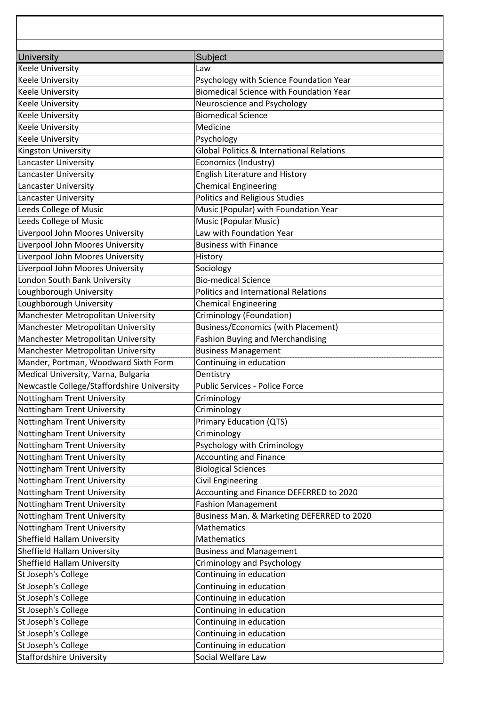| <b>Keele University</b>                    | Law                                                  |
|--------------------------------------------|------------------------------------------------------|
| <b>Keele University</b>                    | Psychology with Science Foundation Year              |
| <b>Keele University</b>                    | <b>Biomedical Science with Foundation Year</b>       |
| <b>Keele University</b>                    | Neuroscience and Psychology                          |
| <b>Keele University</b>                    | <b>Biomedical Science</b>                            |
| <b>Keele University</b>                    | Medicine                                             |
| <b>Keele University</b>                    | Psychology                                           |
| Kingston University                        | <b>Global Politics &amp; International Relations</b> |
| <b>Lancaster University</b>                | Economics (Industry)                                 |
| Lancaster University                       | English Literature and History                       |
| Lancaster University                       | <b>Chemical Engineering</b>                          |
| Lancaster University                       | Politics and Religious Studies                       |
| Leeds College of Music                     | Music (Popular) with Foundation Year                 |
| Leeds College of Music                     | Music (Popular Music)                                |
| Liverpool John Moores University           | Law with Foundation Year                             |
| Liverpool John Moores University           | <b>Business with Finance</b>                         |
| Liverpool John Moores University           | History                                              |
| Liverpool John Moores University           | Sociology                                            |
| London South Bank University               | <b>Bio-medical Science</b>                           |
| Loughborough University                    | Politics and International Relations                 |
| Loughborough University                    | <b>Chemical Engineering</b>                          |
| Manchester Metropolitan University         | Criminology (Foundation)                             |
| Manchester Metropolitan University         | <b>Business/Economics (with Placement)</b>           |
| Manchester Metropolitan University         | <b>Fashion Buying and Merchandising</b>              |
| Manchester Metropolitan University         | <b>Business Management</b>                           |
| Mander, Portman, Woodward Sixth Form       | Continuing in education                              |
| Medical University, Varna, Bulgaria        | Dentistry                                            |
| Newcastle College/Staffordshire University | Public Services - Police Force                       |
| Nottingham Trent University                | Criminology                                          |
| Nottingham Trent University                | Criminology                                          |
| Nottingham Trent University                | Primary Education (QTS)                              |
| Nottingham Trent University                | Criminology                                          |
| Nottingham Trent University                | Psychology with Criminology                          |
| Nottingham Trent University                | <b>Accounting and Finance</b>                        |
| Nottingham Trent University                | <b>Biological Sciences</b>                           |
| Nottingham Trent University                | <b>Civil Engineering</b>                             |
| Nottingham Trent University                | Accounting and Finance DEFERRED to 2020              |
| Nottingham Trent University                | Fashion Management                                   |
| Nottingham Trent University                | Business Man. & Marketing DEFERRED to 2020           |
| <b>Nottingham Trent University</b>         | <b>Mathematics</b>                                   |
| Sheffield Hallam University                | Mathematics                                          |
| Sheffield Hallam University                | <b>Business and Management</b>                       |
| Sheffield Hallam University                | Criminology and Psychology                           |
| St Joseph's College                        | Continuing in education                              |
| St Joseph's College                        | Continuing in education                              |
| St Joseph's College                        | Continuing in education                              |
| St Joseph's College                        | Continuing in education                              |
| St Joseph's College                        | Continuing in education                              |
| St Joseph's College                        | Continuing in education                              |
| St Joseph's College                        | Continuing in education                              |
| <b>Staffordshire University</b>            | Social Welfare Law                                   |
|                                            |                                                      |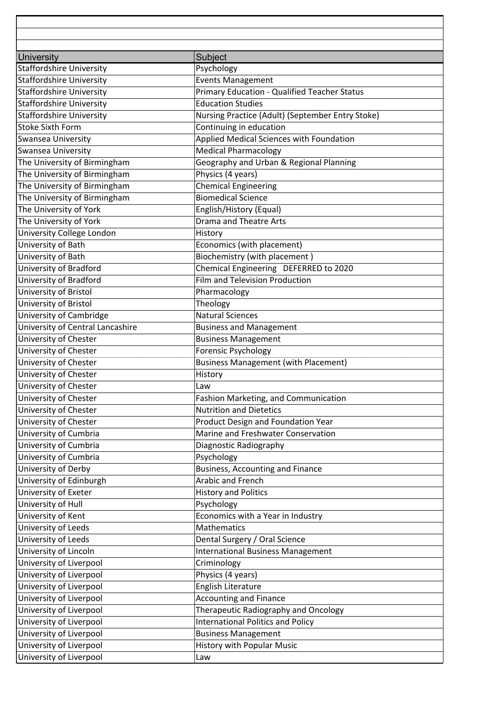| <b>Staffordshire University</b>  | Psychology                                       |
|----------------------------------|--------------------------------------------------|
| <b>Staffordshire University</b>  | <b>Events Management</b>                         |
| <b>Staffordshire University</b>  | Primary Education - Qualified Teacher Status     |
| <b>Staffordshire University</b>  | <b>Education Studies</b>                         |
| <b>Staffordshire University</b>  | Nursing Practice (Adult) (September Entry Stoke) |
| <b>Stoke Sixth Form</b>          | Continuing in education                          |
| Swansea University               | Applied Medical Sciences with Foundation         |
| Swansea University               | <b>Medical Pharmacology</b>                      |
| The University of Birmingham     | Geography and Urban & Regional Planning          |
| The University of Birmingham     | Physics (4 years)                                |
| The University of Birmingham     | <b>Chemical Engineering</b>                      |
| The University of Birmingham     | <b>Biomedical Science</b>                        |
| The University of York           | English/History (Equal)                          |
| The University of York           | <b>Drama and Theatre Arts</b>                    |
| University College London        | History                                          |
| University of Bath               | Economics (with placement)                       |
| University of Bath               | Biochemistry (with placement)                    |
| University of Bradford           | Chemical Engineering DEFERRED to 2020            |
| University of Bradford           | <b>Film and Television Production</b>            |
| University of Bristol            | Pharmacology                                     |
| University of Bristol            | Theology                                         |
| University of Cambridge          | <b>Natural Sciences</b>                          |
| University of Central Lancashire | <b>Business and Management</b>                   |
| University of Chester            | <b>Business Management</b>                       |
| University of Chester            | Forensic Psychology                              |
| University of Chester            | <b>Business Management (with Placement)</b>      |
| University of Chester            | History                                          |
| University of Chester            | Law                                              |
| University of Chester            | Fashion Marketing, and Communication             |
| University of Chester            | <b>Nutrition and Dietetics</b>                   |
| University of Chester            | Product Design and Foundation Year               |
| University of Cumbria            | Marine and Freshwater Conservation               |
| University of Cumbria            | Diagnostic Radiography                           |
| University of Cumbria            | Psychology                                       |
| University of Derby              | <b>Business, Accounting and Finance</b>          |
| University of Edinburgh          | Arabic and French                                |
| University of Exeter             | <b>History and Politics</b>                      |
| University of Hull               | Psychology                                       |
| University of Kent               | Economics with a Year in Industry                |
| University of Leeds              | <b>Mathematics</b>                               |
| University of Leeds              | Dental Surgery / Oral Science                    |
| University of Lincoln            | <b>International Business Management</b>         |
| University of Liverpool          | Criminology                                      |
| University of Liverpool          | Physics (4 years)                                |
| University of Liverpool          | English Literature                               |
| University of Liverpool          | <b>Accounting and Finance</b>                    |
| University of Liverpool          | Therapeutic Radiography and Oncology             |
| University of Liverpool          | <b>International Politics and Policy</b>         |
| University of Liverpool          | <b>Business Management</b>                       |
| University of Liverpool          | <b>History with Popular Music</b>                |
| University of Liverpool          | Law                                              |